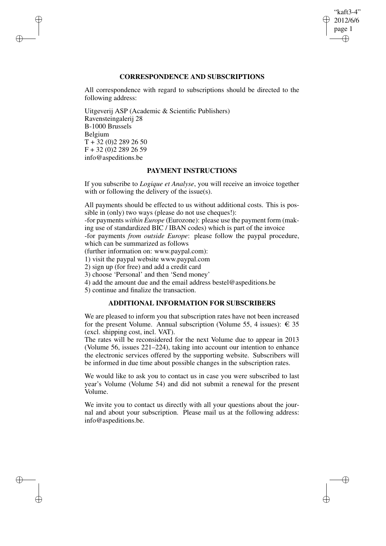## "kaft3-4" 2012/6/6 page 1 ✐ ✐

✐

✐

## **CORRESPONDENCE AND SUBSCRIPTIONS**

All correspondence with regard to subscriptions should be directed to the following address:

Uitgeverij ASP (Academic & Scientific Publishers) Ravensteingalerij 28 B-1000 Brussels Belgium  $T + 32 (0)2 289 26 50$ F + 32 (0)2 289 26 59 info@aspeditions.be

✐

✐

✐

✐

## **PAYMENT INSTRUCTIONS**

If you subscribe to *Logique et Analyse*, you will receive an invoice together with or following the delivery of the issue(s).

All payments should be effected to us without additional costs. This is possible in (only) two ways (please do not use cheques!):

-for payments *within Europe* (Eurozone): please use the payment form (making use of standardized BIC / IBAN codes) which is part of the invoice

-for payments *from outside Europe*: please follow the paypal procedure, which can be summarized as follows

(further information on: www.paypal.com):

1) visit the paypal website www.paypal.com

2) sign up (for free) and add a credit card

3) choose 'Personal' and then 'Send money'

4) add the amount due and the email address bestel@aspeditions.be

5) continue and finalize the transaction.

# **ADDITIONAL INFORMATION FOR SUBSCRIBERS**

We are pleased to inform you that subscription rates have not been increased for the present Volume. Annual subscription (Volume 55, 4 issues):  $\epsilon$  35 (excl. shipping cost, incl. VAT).

The rates will be reconsidered for the next Volume due to appear in 2013 (Volume 56, issues 221–224), taking into account our intention to enhance the electronic services offered by the supporting website. Subscribers will be informed in due time about possible changes in the subscription rates.

We would like to ask you to contact us in case you were subscribed to last year's Volume (Volume 54) and did not submit a renewal for the present Volume.

We invite you to contact us directly with all your questions about the journal and about your subscription. Please mail us at the following address: info@aspeditions.be.